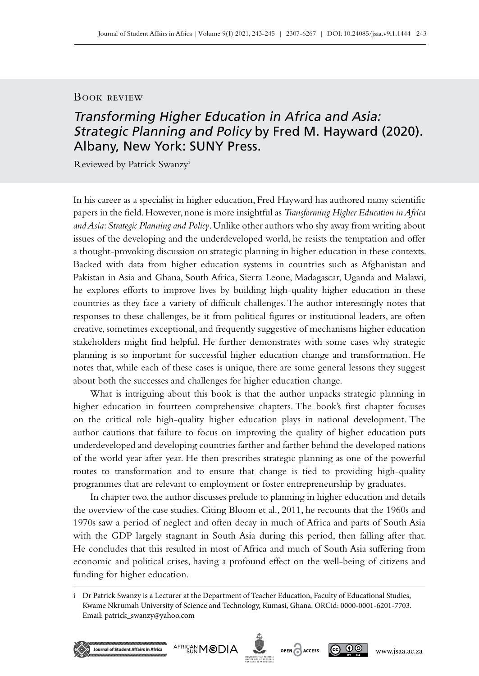## Book review

## Transforming Higher Education in Africa and Asia: Strategic Planning and Policy by Fred M. Hayward (2020). Albany, New York: SUNY Press.

Reviewed by Patrick Swanzyi

In his career as a specialist in higher education, Fred Hayward has authored many scientific papers in the field. However, none is more insightful as *Transforming Higher Education in Africa and Asia: Strategic Planning and Policy*. Unlike other authors who shy away from writing about issues of the developing and the underdeveloped world, he resists the temptation and offer a thought-provoking discussion on strategic planning in higher education in these contexts. Backed with data from higher education systems in countries such as Afghanistan and Pakistan in Asia and Ghana, South Africa, Sierra Leone, Madagascar, Uganda and Malawi, he explores efforts to improve lives by building high–quality higher education in these countries as they face a variety of difficult challenges. The author interestingly notes that responses to these challenges, be it from political figures or institutional leaders, are often creative, sometimes exceptional, and frequently suggestive of mechanisms higher education stakeholders might find helpful. He further demonstrates with some cases why strategic planning is so important for successful higher education change and transformation. He notes that, while each of these cases is unique, there are some general lessons they suggest about both the successes and challenges for higher education change.

What is intriguing about this book is that the author unpacks strategic planning in higher education in fourteen comprehensive chapters. The book's first chapter focuses on the critical role high–quality higher education plays in national development. The author cautions that failure to focus on improving the quality of higher education puts underdeveloped and developing countries farther and farther behind the developed nations of the world year after year. He then prescribes strategic planning as one of the powerful routes to transformation and to ensure that change is tied to providing high-quality programmes that are relevant to employment or foster entrepreneurship by graduates.

In chapter two, the author discusses prelude to planning in higher education and details the overview of the case studies. Citing Bloom et al., 2011, he recounts that the 1960s and 1970s saw a period of neglect and often decay in much of Africa and parts of South Asia with the GDP largely stagnant in South Asia during this period, then falling after that. He concludes that this resulted in most of Africa and much of South Asia suffering from economic and political crises, having a profound effect on the well‑being of citizens and funding for higher education.

AFRICAN MODIA

urnal of Student Affairs in Africa

OPEN CACCESS



i Dr Patrick Swanzy is a Lecturer at the Department of Teacher Education, Faculty of Educational Studies, Kwame Nkrumah University of Science and Technology, Kumasi, Ghana. ORCid: 0000-0001-6201-7703. Email: [patrick\\_swanzy@yahoo.com](mailto:patrick_swanzy%40yahoo.com?subject=)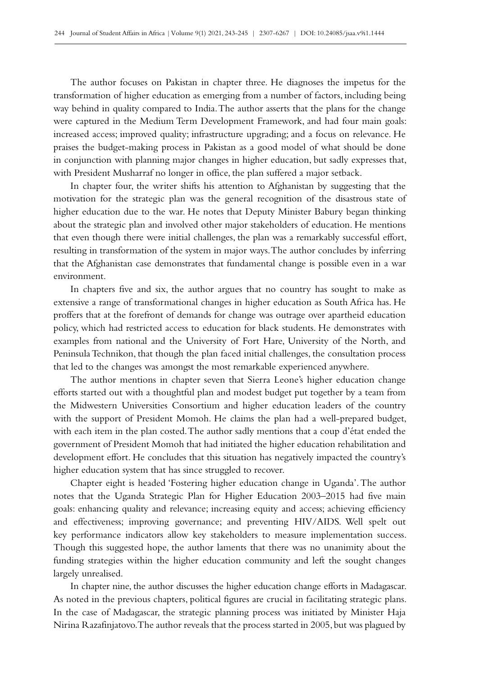The author focuses on Pakistan in chapter three. He diagnoses the impetus for the transformation of higher education as emerging from a number of factors, including being way behind in quality compared to India. The author asserts that the plans for the change were captured in the Medium Term Development Framework, and had four main goals: increased access; improved quality; infrastructure upgrading; and a focus on relevance. He praises the budget‑making process in Pakistan as a good model of what should be done in conjunction with planning major changes in higher education, but sadly expresses that, with President Musharraf no longer in office, the plan suffered a major setback.

In chapter four, the writer shifts his attention to Afghanistan by suggesting that the motivation for the strategic plan was the general recognition of the disastrous state of higher education due to the war. He notes that Deputy Minister Babury began thinking about the strategic plan and involved other major stakeholders of education. He mentions that even though there were initial challenges, the plan was a remarkably successful effort, resulting in transformation of the system in major ways. The author concludes by inferring that the Afghanistan case demonstrates that fundamental change is possible even in a war environment.

In chapters five and six, the author argues that no country has sought to make as extensive a range of transformational changes in higher education as South Africa has. He proffers that at the forefront of demands for change was outrage over apartheid education policy, which had restricted access to education for black students. He demonstrates with examples from national and the University of Fort Hare, University of the North, and Peninsula Technikon, that though the plan faced initial challenges, the consultation process that led to the changes was amongst the most remarkable experienced anywhere.

The author mentions in chapter seven that Sierra Leone's higher education change efforts started out with a thoughtful plan and modest budget put together by a team from the Midwestern Universities Consortium and higher education leaders of the country with the support of President Momoh. He claims the plan had a well-prepared budget, with each item in the plan costed. The author sadly mentions that a coup d'état ended the government of President Momoh that had initiated the higher education rehabilitation and development effort. He concludes that this situation has negatively impacted the country's higher education system that has since struggled to recover.

Chapter eight is headed 'Fostering higher education change in Uganda'. The author notes that the Uganda Strategic Plan for Higher Education 2003–2015 had five main goals: enhancing quality and relevance; increasing equity and access; achieving efficiency and effectiveness; improving governance; and preventing HIV/AIDS. Well spelt out key performance indicators allow key stakeholders to measure implementation success. Though this suggested hope, the author laments that there was no unanimity about the funding strategies within the higher education community and left the sought changes largely unrealised.

In chapter nine, the author discusses the higher education change efforts in Madagascar. As noted in the previous chapters, political figures are crucial in facilitating strategic plans. In the case of Madagascar, the strategic planning process was initiated by Minister Haja Nirina Razafinjatovo. The author reveals that the process started in 2005, but was plagued by